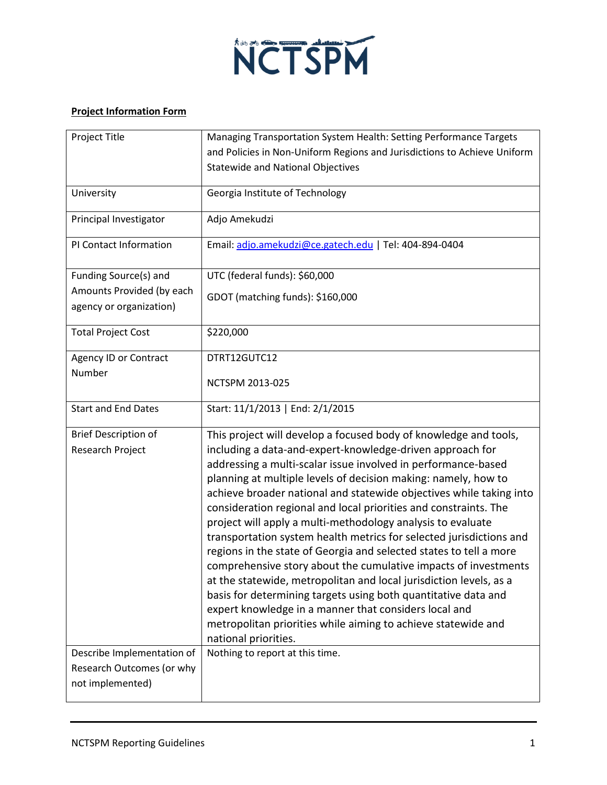

## **Project Information Form**

| Project Title                                        | Managing Transportation System Health: Setting Performance Targets                                                                      |
|------------------------------------------------------|-----------------------------------------------------------------------------------------------------------------------------------------|
|                                                      | and Policies in Non-Uniform Regions and Jurisdictions to Achieve Uniform                                                                |
|                                                      | <b>Statewide and National Objectives</b>                                                                                                |
| University                                           | Georgia Institute of Technology                                                                                                         |
| Principal Investigator                               | Adjo Amekudzi                                                                                                                           |
| PI Contact Information                               | Email: adjo.amekudzi@ce.gatech.edu   Tel: 404-894-0404                                                                                  |
| Funding Source(s) and                                | UTC (federal funds): \$60,000                                                                                                           |
| Amounts Provided (by each<br>agency or organization) | GDOT (matching funds): \$160,000                                                                                                        |
| <b>Total Project Cost</b>                            | \$220,000                                                                                                                               |
| Agency ID or Contract                                | DTRT12GUTC12                                                                                                                            |
| Number                                               | NCTSPM 2013-025                                                                                                                         |
| <b>Start and End Dates</b>                           | Start: 11/1/2013   End: 2/1/2015                                                                                                        |
| <b>Brief Description of</b>                          | This project will develop a focused body of knowledge and tools,                                                                        |
| Research Project                                     | including a data-and-expert-knowledge-driven approach for                                                                               |
|                                                      | addressing a multi-scalar issue involved in performance-based                                                                           |
|                                                      | planning at multiple levels of decision making: namely, how to                                                                          |
|                                                      | achieve broader national and statewide objectives while taking into<br>consideration regional and local priorities and constraints. The |
|                                                      | project will apply a multi-methodology analysis to evaluate                                                                             |
|                                                      | transportation system health metrics for selected jurisdictions and                                                                     |
|                                                      | regions in the state of Georgia and selected states to tell a more                                                                      |
|                                                      | comprehensive story about the cumulative impacts of investments                                                                         |
|                                                      | at the statewide, metropolitan and local jurisdiction levels, as a                                                                      |
|                                                      | basis for determining targets using both quantitative data and                                                                          |
|                                                      | expert knowledge in a manner that considers local and<br>metropolitan priorities while aiming to achieve statewide and                  |
|                                                      | national priorities.                                                                                                                    |
| Describe Implementation of                           | Nothing to report at this time.                                                                                                         |
| Research Outcomes (or why                            |                                                                                                                                         |
| not implemented)                                     |                                                                                                                                         |